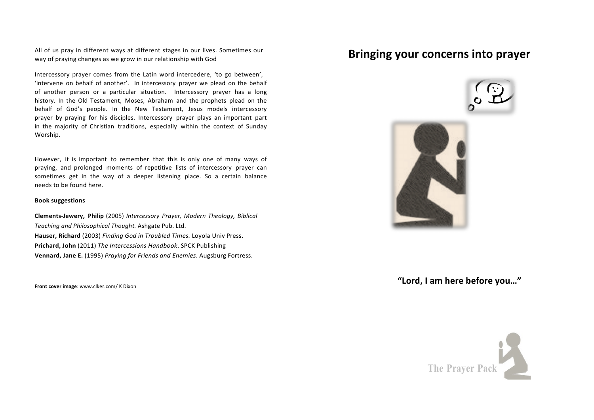All of us pray in different ways at different stages in our lives. Sometimes our way of praying changes as we grow in our relationship with God

Intercessory prayer comes from the Latin word intercedere, 'to go between', 'intervene on behalf of another'. In intercessory prayer we plead on the behalf of another person or a particular situation. Intercessory prayer has a long history. In the Old Testament, Moses, Abraham and the prophets plead on the behalf of God's people. In the New Testament, Jesus models intercessory prayer by praying for his disciples. Intercessory prayer plays an important part in the majority of Christian traditions, especially within the context of Sunday Worship.

However, it is important to remember that this is only one of many ways of praying, and prolonged moments of repetitive lists of intercessory prayer can sometimes get in the way of a deeper listening place. So a certain balance needs to be found here. 

## **Book suggestions**

**Clements-Jewery, Philip** (2005) *Intercessory Prayer, Modern Theology, Biblical Teaching and Philosophical Thought.* Ashgate Pub. Ltd. **Hauser, Richard** (2003) *Finding God in Troubled Times.* Loyola Univ Press. **Prichard, John** (2011) The Intercessions Handbook. SPCK Publishing **Vennard, Jane E.** (1995) *Praying for Friends and Enemies*. Augsburg Fortress.

**Front cover image:** www.clker.com/ K Dixon

## **Bringing your concerns into prayer**





**"Lord, I am here before you…"**